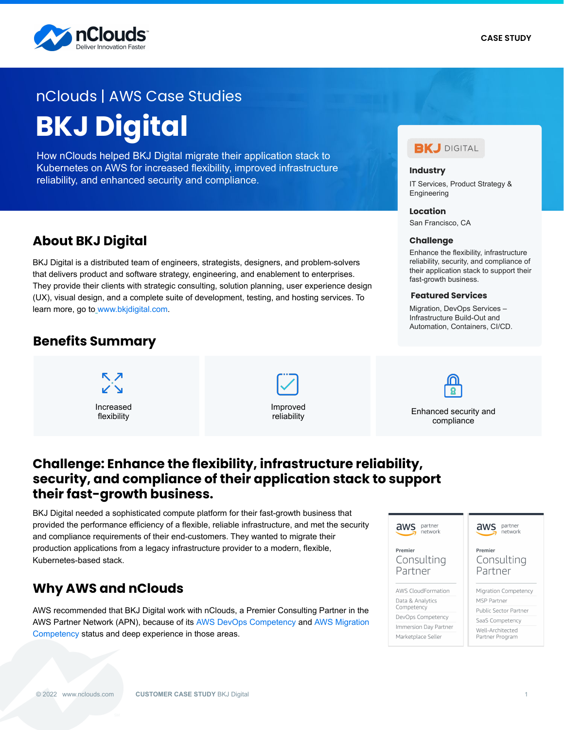

# **BKJ Digital** nClouds | AWS Case Studies

How nClouds helped BKJ Digital migrate their application stack to Kubernetes on AWS for increased flexibility, improved infrastructure reliability, and enhanced security and compliance.

## **About BKJ Digital**

BKJ Digital is a distributed team of engineers, strategists, designers, and problem-solvers that delivers product and software strategy, engineering, and enablement to enterprises. They provide their clients with strategic consulting, solution planning, user experience design (UX), visual design, and a complete suite of development, testing, and hosting services. To learn more, go to\_[www.bkjdigital.com](https://www.bkjdigital.com/).

### **Benefits Summary**







**Industry**

Engineering **Location** San Francisco, CA

**Challenge**

fast-growth business. **Featured Services** Migration, DevOps Services – Infrastructure Build-Out and Automation, Containers, CI/CD.

IT Services, Product Strategy &

**BKJ** DIGITAL

Enhance the flexibility, infrastructure reliability, security, and compliance of their application stack to support their

reliability Enhanced security and<br>reliability examples and compliance compliance

### **Challenge: Enhance the flexibility, infrastructure reliability, security, and compliance of their application stack to support their fast-growth business.**

BKJ Digital needed a sophisticated compute platform for their fast-growth business that provided the performance efficiency of a flexible, reliable infrastructure, and met the security and compliance requirements of their end-customers. They wanted to migrate their production applications from a legacy infrastructure provider to a modern, flexible, Kubernetes-based stack.

## **Why AWS and nClouds**

AWS recommended that BKJ Digital work with nClouds, a Premier Consulting Partner in the AWS Partner Network (APN), because of its [AWS DevOps Competency](https://www.nclouds.com/services/devops-consulting-services) and [AWS Migration](https://www.nclouds.com/services/cloud-migration-services)  [Competency](https://www.nclouds.com/services/cloud-migration-services) status and deep experience in those areas.

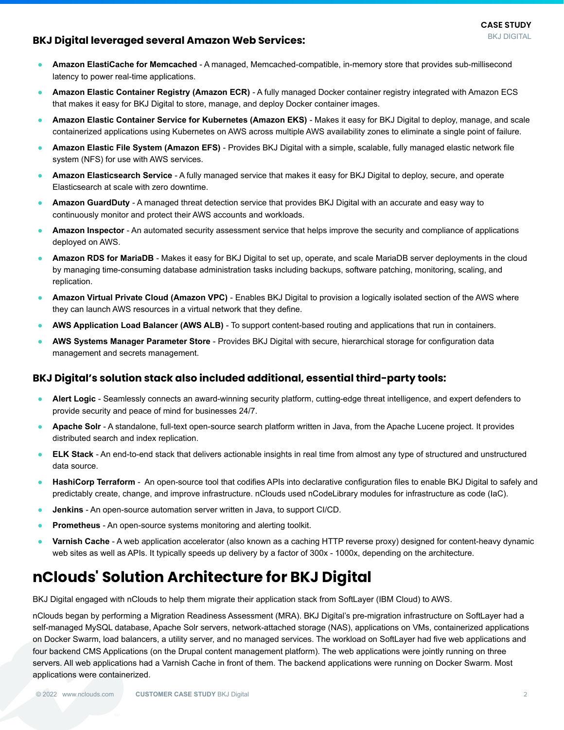#### **BKJ Digital leveraged several Amazon Web Services:**

- **Amazon ElastiCache for Memcached** A managed, Memcached-compatible, in-memory store that provides sub-millisecond latency to power real-time applications.
- **Amazon Elastic Container Registry (Amazon ECR)** A fully managed Docker container registry integrated with Amazon ECS that makes it easy for BKJ Digital to store, manage, and deploy Docker container images.
- **Amazon Elastic Container Service for Kubernetes (Amazon EKS)** Makes it easy for BKJ Digital to deploy, manage, and scale containerized applications using Kubernetes on AWS across multiple AWS availability zones to eliminate a single point of failure.
- **Amazon Elastic File System (Amazon EFS)** Provides BKJ Digital with a simple, scalable, fully managed elastic network file system (NFS) for use with AWS services.
- **Amazon Elasticsearch Service** A fully managed service that makes it easy for BKJ Digital to deploy, secure, and operate Elasticsearch at scale with zero downtime.
- **Amazon GuardDuty** A managed threat detection service that provides BKJ Digital with an accurate and easy way to continuously monitor and protect their AWS accounts and workloads.
- Amazon Inspector An automated security assessment service that helps improve the security and compliance of applications deployed on AWS.
- Amazon RDS for MariaDB Makes it easy for BKJ Digital to set up, operate, and scale MariaDB server deployments in the cloud by managing time-consuming database administration tasks including backups, software patching, monitoring, scaling, and replication.
- Amazon Virtual Private Cloud (Amazon VPC) Enables BKJ Digital to provision a logically isolated section of the AWS where they can launch AWS resources in a virtual network that they define.
- AWS Application Load Balancer (AWS ALB) To support content-based routing and applications that run in containers.
- **AWS Systems Manager Parameter Store** Provides BKJ Digital with secure, hierarchical storage for configuration data management and secrets management.

#### **BKJ Digital's solution stack also included additional, essential third-party tools:**

- Alert Logic Seamlessly connects an award-winning security platform, cutting-edge threat intelligence, and expert defenders to provide security and peace of mind for businesses 24/7.
- Apache Solr A standalone, full-text open-source search platform written in Java, from the Apache Lucene project. It provides distributed search and index replication.
- **ELK Stack** An end-to-end stack that delivers actionable insights in real time from almost any type of structured and unstructured data source.
- **HashiCorp Terraform** An open-source tool that codifies APIs into declarative configuration files to enable BKJ Digital to safely and predictably create, change, and improve infrastructure. nClouds used nCodeLibrary modules for infrastructure as code (IaC).
- **Jenkins** An open-source automation server written in Java, to support CI/CD.
- **Prometheus** An open-source systems monitoring and alerting toolkit.
- **Varnish Cache** A web application accelerator (also known as a caching HTTP reverse proxy) designed for content-heavy dynamic web sites as well as APIs. It typically speeds up delivery by a factor of 300x - 1000x, depending on the architecture.

# **nClouds' Solution Architecture for BKJ Digital**

BKJ Digital engaged with nClouds to help them migrate their application stack from SoftLayer (IBM Cloud) to AWS.

nClouds began by performing a Migration Readiness Assessment (MRA). BKJ Digital's pre-migration infrastructure on SoftLayer had a self-managed MySQL database, Apache Solr servers, network-attached storage (NAS), applications on VMs, containerized applications on Docker Swarm, load balancers, a utility server, and no managed services. The workload on SoftLayer had five web applications and four backend CMS Applications (on the Drupal content management platform). The web applications were jointly running on three servers. All web applications had a Varnish Cache in front of them. The backend applications were running on Docker Swarm. Most applications were containerized.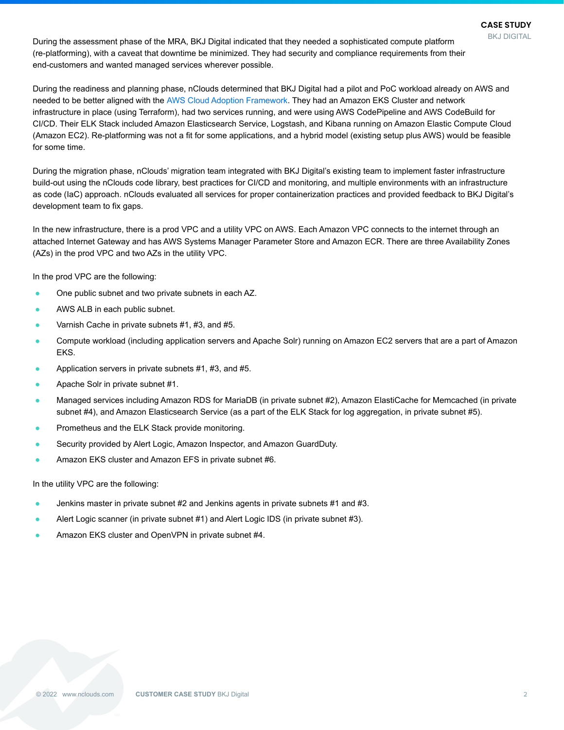During the assessment phase of the MRA, BKJ Digital indicated that they needed a sophisticated compute platform (re-platforming), with a caveat that downtime be minimized. They had security and compliance requirements from their end-customers and wanted managed services wherever possible.

During the readiness and planning phase, nClouds determined that BKJ Digital had a pilot and PoC workload already on AWS and needed to be better aligned with the [AWS Cloud Adoption Framework](https://aws.amazon.com/professional-services/CAF/). They had an Amazon EKS Cluster and network infrastructure in place (using Terraform), had two services running, and were using AWS CodePipeline and AWS CodeBuild for CI/CD. Their ELK Stack included Amazon Elasticsearch Service, Logstash, and Kibana running on Amazon Elastic Compute Cloud (Amazon EC2). Re-platforming was not a fit for some applications, and a hybrid model (existing setup plus AWS) would be feasible for some time.

During the migration phase, nClouds' migration team integrated with BKJ Digital's existing team to implement faster infrastructure build-out using the nClouds code library, best practices for CI/CD and monitoring, and multiple environments with an infrastructure as code (IaC) approach. nClouds evaluated all services for proper containerization practices and provided feedback to BKJ Digital's development team to fix gaps.

In the new infrastructure, there is a prod VPC and a utility VPC on AWS. Each Amazon VPC connects to the internet through an attached Internet Gateway and has AWS Systems Manager Parameter Store and Amazon ECR. There are three Availability Zones (AZs) in the prod VPC and two AZs in the utility VPC.

In the prod VPC are the following:

- One public subnet and two private subnets in each AZ.
- AWS ALB in each public subnet.
- Varnish Cache in private subnets #1, #3, and #5.
- Compute workload (including application servers and Apache Solr) running on Amazon EC2 servers that are a part of Amazon EKS.
- Application servers in private subnets  $#1, #3,$  and  $#5.$
- Apache Solr in private subnet #1.
- Managed services including Amazon RDS for MariaDB (in private subnet #2), Amazon ElastiCache for Memcached (in private subnet #4), and Amazon Elasticsearch Service (as a part of the ELK Stack for log aggregation, in private subnet #5).
- Prometheus and the ELK Stack provide monitoring.
- Security provided by Alert Logic, Amazon Inspector, and Amazon GuardDuty.
- Amazon EKS cluster and Amazon EFS in private subnet #6.

#### In the utility VPC are the following:

- Jenkins master in private subnet #2 and Jenkins agents in private subnets #1 and #3.
- Alert Logic scanner (in private subnet #1) and Alert Logic IDS (in private subnet #3).
- Amazon EKS cluster and OpenVPN in private subnet #4.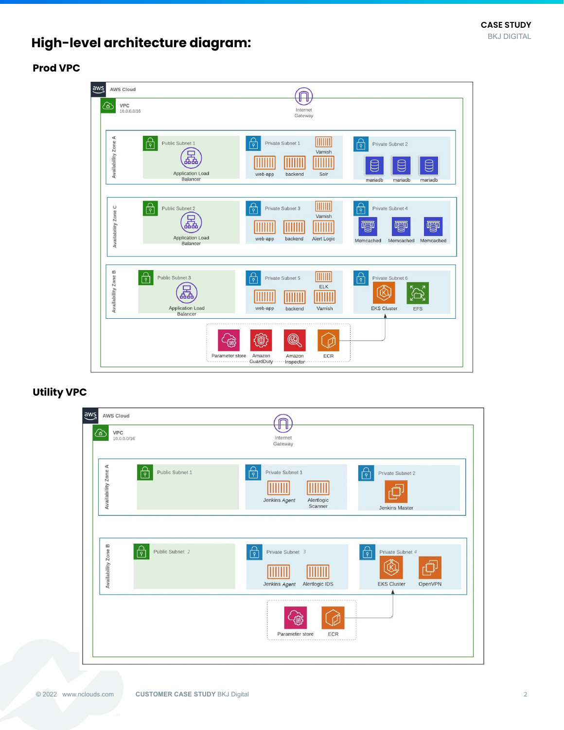# **High-level architecture diagram:**

#### **Prod VPC**



#### **Utility VPC**

| aws<br><b>AWS Cloud</b><br><b>VPC</b><br><u>' ச</u>      |                                                                |                                                 |
|----------------------------------------------------------|----------------------------------------------------------------|-------------------------------------------------|
| 10.0.0.0/16                                              | Internet<br>Gateway                                            |                                                 |
| Availability Zone A<br>Public Subnet 1<br>$\overline{P}$ | <br>Private Subnet 1<br>Alertlogic<br>Jenkins Agent<br>Scanner | <u>မြ</u><br>Private Subnet 2<br>Jenkins Master |
| Availability Zone B<br>Public Subnet 2<br>দি             | Private Subnet 3<br>ৰি                                         | ┢<br>Private Subnet 4                           |
|                                                          | Jenkins Agent<br>Alertlogic IDS                                | <b>EKS Cluster</b><br>OpenVPN                   |
|                                                          | Parameter store<br><b>ECR</b>                                  |                                                 |
|                                                          |                                                                |                                                 |